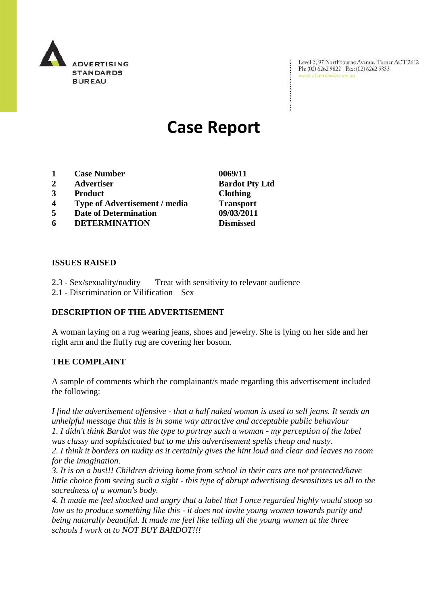

Level 2, 97 Northbourne Avenue, Turner ACT 2612 Ph: (02) 6262 9822 | Fax: (02) 6262 9833 www.adstandards.com.au

# **Case Report**

- **1 Case Number 0069/11**
- **2 Advertiser Bardot Pty Ltd**
- **3 Product Clothing**
- **4 Type of Advertisement / media Transport**
- **5 Date of Determination 09/03/2011**
- **6 DETERMINATION Dismissed**

÷

### **ISSUES RAISED**

- 2.3 Sex/sexuality/nudity Treat with sensitivity to relevant audience
- 2.1 Discrimination or Vilification Sex

## **DESCRIPTION OF THE ADVERTISEMENT**

A woman laying on a rug wearing jeans, shoes and jewelry. She is lying on her side and her right arm and the fluffy rug are covering her bosom.

### **THE COMPLAINT**

A sample of comments which the complainant/s made regarding this advertisement included the following:

*I find the advertisement offensive - that a half naked woman is used to sell jeans. It sends an unhelpful message that this is in some way attractive and acceptable public behaviour 1. I didn't think Bardot was the type to portray such a woman - my perception of the label was classy and sophisticated but to me this advertisement spells cheap and nasty.*

*2. I think it borders on nudity as it certainly gives the hint loud and clear and leaves no room for the imagination.*

*3. It is on a bus!!! Children driving home from school in their cars are not protected/have little choice from seeing such a sight - this type of abrupt advertising desensitizes us all to the sacredness of a woman's body.*

*4. It made me feel shocked and angry that a label that I once regarded highly would stoop so low as to produce something like this - it does not invite young women towards purity and being naturally beautiful. It made me feel like telling all the young women at the three schools I work at to NOT BUY BARDOT!!!*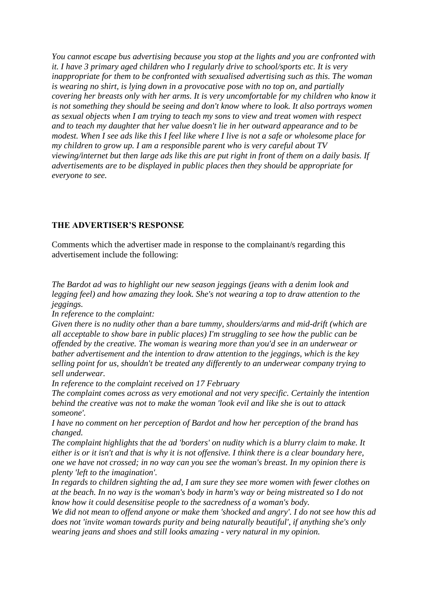*You cannot escape bus advertising because you stop at the lights and you are confronted with it. I have 3 primary aged children who I regularly drive to school/sports etc. It is very inappropriate for them to be confronted with sexualised advertising such as this. The woman is wearing no shirt, is lying down in a provocative pose with no top on, and partially covering her breasts only with her arms. It is very uncomfortable for my children who know it is not something they should be seeing and don't know where to look. It also portrays women as sexual objects when I am trying to teach my sons to view and treat women with respect and to teach my daughter that her value doesn't lie in her outward appearance and to be modest. When I see ads like this I feel like where I live is not a safe or wholesome place for my children to grow up. I am a responsible parent who is very careful about TV viewing/internet but then large ads like this are put right in front of them on a daily basis. If advertisements are to be displayed in public places then they should be appropriate for everyone to see.*

#### **THE ADVERTISER'S RESPONSE**

Comments which the advertiser made in response to the complainant/s regarding this advertisement include the following:

*The Bardot ad was to highlight our new season jeggings (jeans with a denim look and legging feel) and how amazing they look. She's not wearing a top to draw attention to the jeggings.*

*In reference to the complaint:*

*Given there is no nudity other than a bare tummy, shoulders/arms and mid-drift (which are all acceptable to show bare in public places) I'm struggling to see how the public can be offended by the creative. The woman is wearing more than you'd see in an underwear or bather advertisement and the intention to draw attention to the jeggings, which is the key selling point for us, shouldn't be treated any differently to an underwear company trying to sell underwear.*

*In reference to the complaint received on 17 February* 

*The complaint comes across as very emotional and not very specific. Certainly the intention behind the creative was not to make the woman 'look evil and like she is out to attack someone'.*

*I have no comment on her perception of Bardot and how her perception of the brand has changed.* 

*The complaint highlights that the ad 'borders' on nudity which is a blurry claim to make. It either is or it isn't and that is why it is not offensive. I think there is a clear boundary here, one we have not crossed; in no way can you see the woman's breast. In my opinion there is plenty 'left to the imagination'.*

*In regards to children sighting the ad, I am sure they see more women with fewer clothes on at the beach. In no way is the woman's body in harm's way or being mistreated so I do not know how it could desensitise people to the sacredness of a woman's body.*

*We did not mean to offend anyone or make them 'shocked and angry'. I do not see how this ad does not 'invite woman towards purity and being naturally beautiful', if anything she's only wearing jeans and shoes and still looks amazing - very natural in my opinion.*